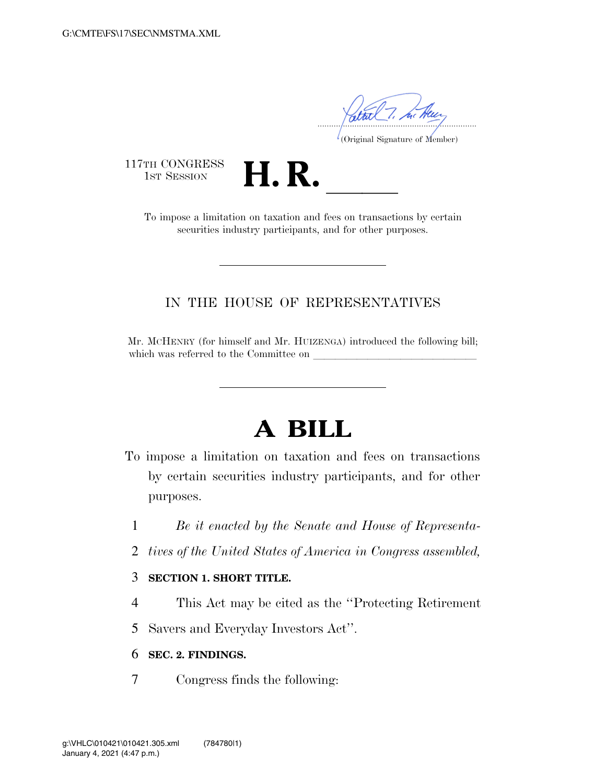.....................................................................

(Original Signature of Member)

117TH CONGRESS<br>1st Session

TH CONGRESS<br>1st SESSION **H. R.** <u>Indication on taxation</u> and fees on transactions by certain securities industry participants, and for other purposes.

## IN THE HOUSE OF REPRESENTATIVES

Mr. MCHENRY (for himself and Mr. HUIZENGA) introduced the following bill; which was referred to the Committee on

## **A BILL**

- To impose a limitation on taxation and fees on transactions by certain securities industry participants, and for other purposes.
	- 1 *Be it enacted by the Senate and House of Representa-*
	- 2 *tives of the United States of America in Congress assembled,*

## 3 **SECTION 1. SHORT TITLE.**

- 4 This Act may be cited as the ''Protecting Retirement
- 5 Savers and Everyday Investors Act''.

## 6 **SEC. 2. FINDINGS.**

7 Congress finds the following: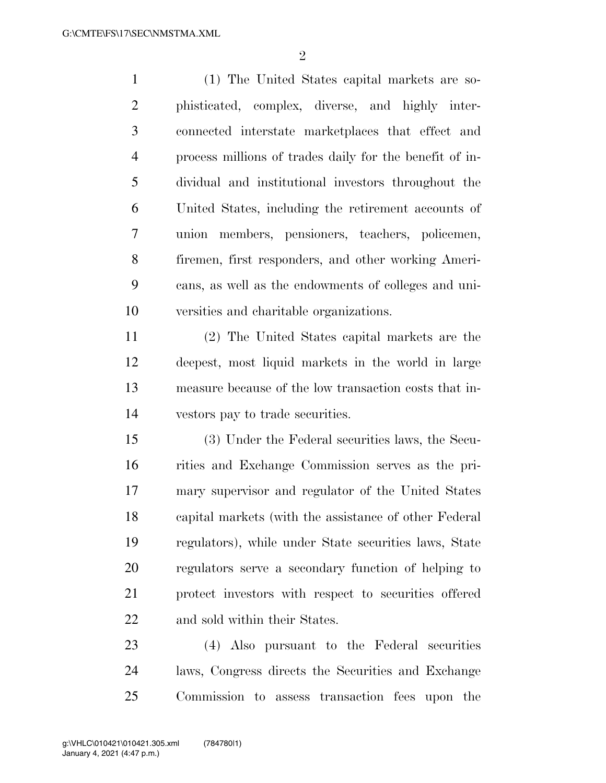$\mathfrak{D}$ 

 (1) The United States capital markets are so- phisticated, complex, diverse, and highly inter- connected interstate marketplaces that effect and process millions of trades daily for the benefit of in- dividual and institutional investors throughout the United States, including the retirement accounts of union members, pensioners, teachers, policemen, firemen, first responders, and other working Ameri- cans, as well as the endowments of colleges and uni-versities and charitable organizations.

 (2) The United States capital markets are the deepest, most liquid markets in the world in large measure because of the low transaction costs that in-vestors pay to trade securities.

 (3) Under the Federal securities laws, the Secu- rities and Exchange Commission serves as the pri- mary supervisor and regulator of the United States capital markets (with the assistance of other Federal regulators), while under State securities laws, State regulators serve a secondary function of helping to protect investors with respect to securities offered and sold within their States.

 (4) Also pursuant to the Federal securities laws, Congress directs the Securities and Exchange Commission to assess transaction fees upon the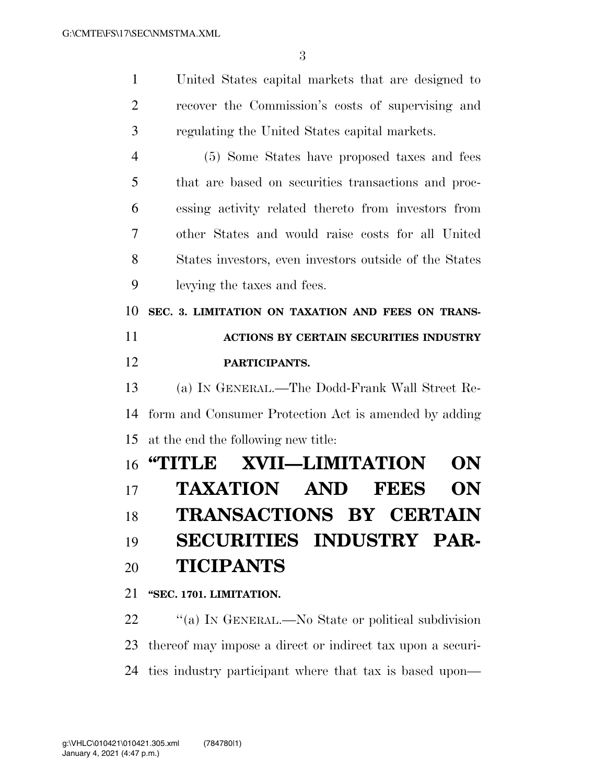United States capital markets that are designed to

| $\overline{2}$ | recover the Commission's costs of supervising and      |
|----------------|--------------------------------------------------------|
| 3              | regulating the United States capital markets.          |
| $\overline{4}$ | (5) Some States have proposed taxes and fees           |
| 5              | that are based on securities transactions and proc-    |
| 6              | essing activity related thereto from investors from    |
| 7              | other States and would raise costs for all United      |
| 8              | States investors, even investors outside of the States |
| 9              | levying the taxes and fees.                            |
| 10             | SEC. 3. LIMITATION ON TAXATION AND FEES ON TRANS-      |
| 11             | ACTIONS BY CERTAIN SECURITIES INDUSTRY                 |
| 12             | PARTICIPANTS.                                          |
| 13             | (a) IN GENERAL.—The Dodd-Frank Wall Street Re-         |
| 14             | form and Consumer Protection Act is amended by adding  |
| 15             | at the end the following new title:                    |
| 16             | <b>XVII—LIMITATION</b><br>"TITLE<br>ON                 |
| 17             | TAXATION AND<br><b>FEES</b><br>ON                      |
| 18             | <b>TRANSACTIONS BY CERTAIN</b>                         |
| 19             | <b>SECURITIES INDUSTRY PAR-</b>                        |
| 20             | <b>TICIPANTS</b>                                       |
| 21             | "SEC. 1701. LIMITATION.                                |
| 22             | "(a) IN GENERAL.—No State or political subdivision     |

 thereof may impose a direct or indirect tax upon a securi-ties industry participant where that tax is based upon—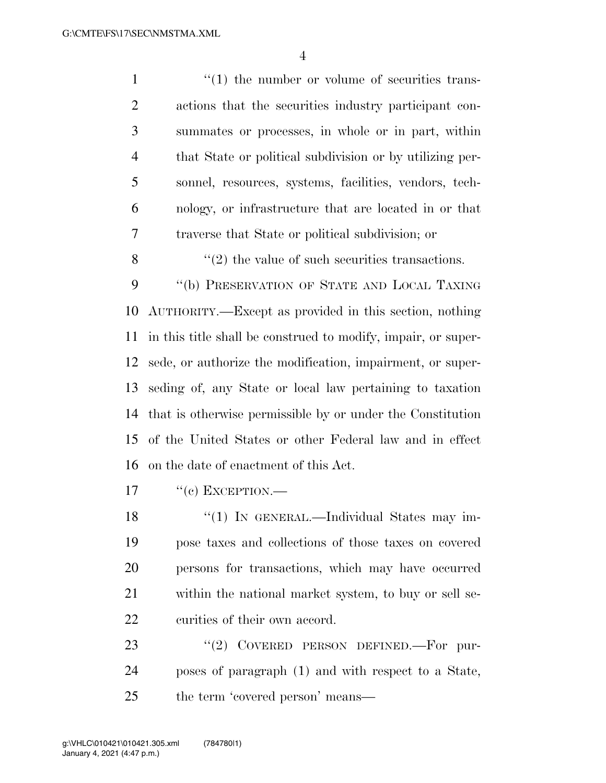$\frac{1}{1}$  the number or volume of securities trans- actions that the securities industry participant con- summates or processes, in whole or in part, within that State or political subdivision or by utilizing per- sonnel, resources, systems, facilities, vendors, tech- nology, or infrastructure that are located in or that traverse that State or political subdivision; or

9 "(b) PRESERVATION OF STATE AND LOCAL TAXING AUTHORITY.—Except as provided in this section, nothing in this title shall be construed to modify, impair, or super- sede, or authorize the modification, impairment, or super- seding of, any State or local law pertaining to taxation that is otherwise permissible by or under the Constitution of the United States or other Federal law and in effect on the date of enactment of this Act.

 $\mathcal{S}$  ''(2) the value of such securities transactions.

 $17 \t$  "(e) EXCEPTION.—

18 "(1) IN GENERAL.—Individual States may im- pose taxes and collections of those taxes on covered persons for transactions, which may have occurred within the national market system, to buy or sell se-curities of their own accord.

23 "(2) COVERED PERSON DEFINED.—For pur- poses of paragraph (1) and with respect to a State, 25 the term 'covered person' means—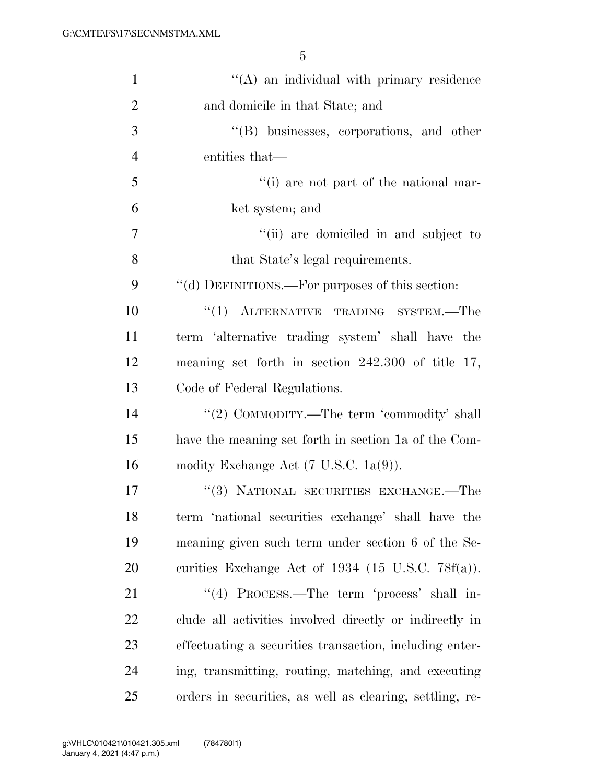| $\mathbf{1}$   | $\lq\lq$ an individual with primary residence            |
|----------------|----------------------------------------------------------|
| $\overline{2}$ | and domicile in that State; and                          |
| 3              | $\lq\lq(B)$ businesses, corporations, and other          |
| $\overline{4}$ | entities that—                                           |
| 5              | "(i) are not part of the national mar-                   |
| 6              | ket system; and                                          |
| 7              | "(ii) are domiciled in and subject to                    |
| 8              | that State's legal requirements.                         |
| 9              | "(d) DEFINITIONS.—For purposes of this section:          |
| 10             | "(1) ALTERNATIVE TRADING SYSTEM.-The                     |
| 11             | term 'alternative trading system' shall have the         |
| 12             | meaning set forth in section $242.300$ of title 17,      |
| 13             | Code of Federal Regulations.                             |
| 14             | "(2) COMMODITY.—The term 'commodity' shall               |
| 15             | have the meaning set forth in section 1a of the Com-     |
| 16             | modity Exchange Act $(7 \text{ U.S.C. } 1a(9))$ .        |
| 17             | "(3) NATIONAL SECURITIES EXCHANGE.-The                   |
| 18             | term 'national securities exchange' shall have the       |
| 19             | meaning given such term under section 6 of the Se-       |
| 20             | curities Exchange Act of $1934$ (15 U.S.C. 78f(a)).      |
| 21             | "(4) PROCESS.—The term 'process' shall in-               |
| 22             | clude all activities involved directly or indirectly in  |
| 23             | effectuating a securities transaction, including enter-  |
| 24             | ing, transmitting, routing, matching, and executing      |
| 25             | orders in securities, as well as clearing, settling, re- |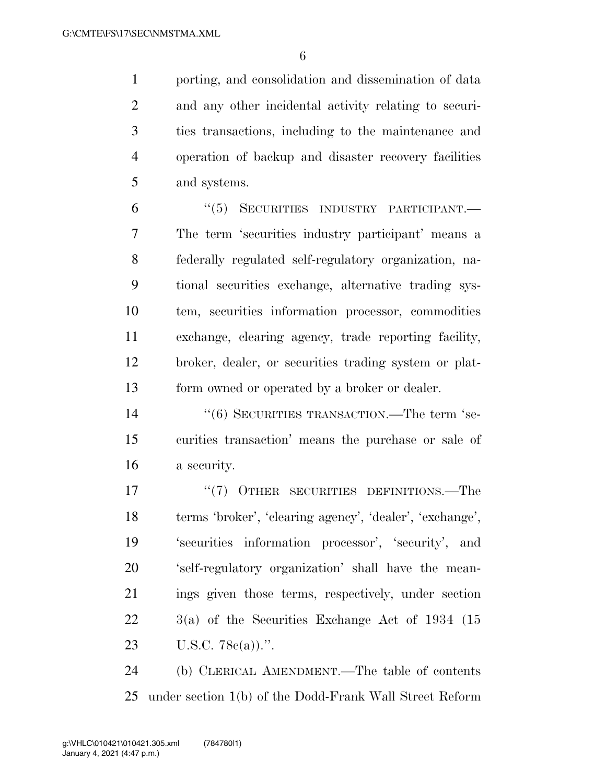porting, and consolidation and dissemination of data and any other incidental activity relating to securi- ties transactions, including to the maintenance and operation of backup and disaster recovery facilities and systems.

 ''(5) SECURITIES INDUSTRY PARTICIPANT.— The term 'securities industry participant' means a federally regulated self-regulatory organization, na- tional securities exchange, alternative trading sys- tem, securities information processor, commodities exchange, clearing agency, trade reporting facility, broker, dealer, or securities trading system or plat-form owned or operated by a broker or dealer.

14 ''(6) SECURITIES TRANSACTION.—The term 'se- curities transaction' means the purchase or sale of a security.

17 <sup>"</sup>(7) OTHER SECURITIES DEFINITIONS.—The terms 'broker', 'clearing agency', 'dealer', 'exchange', 'securities information processor', 'security', and 'self-regulatory organization' shall have the mean- ings given those terms, respectively, under section 3(a) of the Securities Exchange Act of 1934 (15 U.S.C. 78c(a)).''.

 (b) CLERICAL AMENDMENT.—The table of contents under section 1(b) of the Dodd-Frank Wall Street Reform